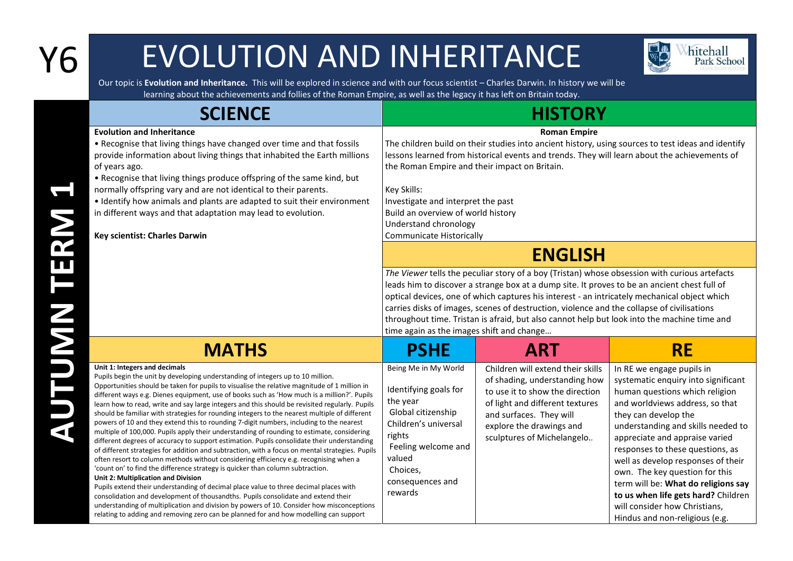## Y6 EVOLUTION AND INHERITANCE



Our topic is **Evolution and Inheritance.** This will be explored in science and with our focus scientist – Charles Darwin. In history we will be learning about the achievements and follies of the Roman Empire, as well as the legacy it has left on Britain today.

| <b>SCIENCE</b>                                                                                                                                                                                                                                                                                                                                                                                                                                                                                                                                                                                                                                                                                                                                                                                                                                                                                                                                                                                                                                                                                                                                                                                                                                                                                                                                                                                                                                                                                      | <b>HISTORY</b>                                                                                                                                                                                                                                                                                                                                                                                                                    |                                                                                                                                                                                                                               |                                                                                                                                                                                                                                                                                                                                                                                                                                                                                                    |  |
|-----------------------------------------------------------------------------------------------------------------------------------------------------------------------------------------------------------------------------------------------------------------------------------------------------------------------------------------------------------------------------------------------------------------------------------------------------------------------------------------------------------------------------------------------------------------------------------------------------------------------------------------------------------------------------------------------------------------------------------------------------------------------------------------------------------------------------------------------------------------------------------------------------------------------------------------------------------------------------------------------------------------------------------------------------------------------------------------------------------------------------------------------------------------------------------------------------------------------------------------------------------------------------------------------------------------------------------------------------------------------------------------------------------------------------------------------------------------------------------------------------|-----------------------------------------------------------------------------------------------------------------------------------------------------------------------------------------------------------------------------------------------------------------------------------------------------------------------------------------------------------------------------------------------------------------------------------|-------------------------------------------------------------------------------------------------------------------------------------------------------------------------------------------------------------------------------|----------------------------------------------------------------------------------------------------------------------------------------------------------------------------------------------------------------------------------------------------------------------------------------------------------------------------------------------------------------------------------------------------------------------------------------------------------------------------------------------------|--|
| <b>Evolution and Inheritance</b><br>• Recognise that living things have changed over time and that fossils<br>provide information about living things that inhabited the Earth millions<br>of years ago.<br>• Recognise that living things produce offspring of the same kind, but<br>normally offspring vary and are not identical to their parents.<br>• Identify how animals and plants are adapted to suit their environment<br>in different ways and that adaptation may lead to evolution.<br>Key scientist: Charles Darwin                                                                                                                                                                                                                                                                                                                                                                                                                                                                                                                                                                                                                                                                                                                                                                                                                                                                                                                                                                   | <b>Roman Empire</b><br>The children build on their studies into ancient history, using sources to test ideas and identify<br>lessons learned from historical events and trends. They will learn about the achievements of<br>the Roman Empire and their impact on Britain.<br>Key Skills:<br>Investigate and interpret the past<br>Build an overview of world history<br>Understand chronology<br><b>Communicate Historically</b> |                                                                                                                                                                                                                               |                                                                                                                                                                                                                                                                                                                                                                                                                                                                                                    |  |
|                                                                                                                                                                                                                                                                                                                                                                                                                                                                                                                                                                                                                                                                                                                                                                                                                                                                                                                                                                                                                                                                                                                                                                                                                                                                                                                                                                                                                                                                                                     | <b>ENGLISH</b><br>The Viewer tells the peculiar story of a boy (Tristan) whose obsession with curious artefacts<br>leads him to discover a strange box at a dump site. It proves to be an ancient chest full of<br>optical devices, one of which captures his interest - an intricately mechanical object which<br>carries disks of images, scenes of destruction, violence and the collapse of civilisations                     |                                                                                                                                                                                                                               |                                                                                                                                                                                                                                                                                                                                                                                                                                                                                                    |  |
|                                                                                                                                                                                                                                                                                                                                                                                                                                                                                                                                                                                                                                                                                                                                                                                                                                                                                                                                                                                                                                                                                                                                                                                                                                                                                                                                                                                                                                                                                                     | throughout time. Tristan is afraid, but also cannot help but look into the machine time and<br>time again as the images shift and change                                                                                                                                                                                                                                                                                          |                                                                                                                                                                                                                               |                                                                                                                                                                                                                                                                                                                                                                                                                                                                                                    |  |
| <b>MATHS</b>                                                                                                                                                                                                                                                                                                                                                                                                                                                                                                                                                                                                                                                                                                                                                                                                                                                                                                                                                                                                                                                                                                                                                                                                                                                                                                                                                                                                                                                                                        | <b>PSHE</b>                                                                                                                                                                                                                                                                                                                                                                                                                       | <b>ART</b>                                                                                                                                                                                                                    | <b>RE</b>                                                                                                                                                                                                                                                                                                                                                                                                                                                                                          |  |
| Unit 1: Integers and decimals<br>Pupils begin the unit by developing understanding of integers up to 10 million.<br>Opportunities should be taken for pupils to visualise the relative magnitude of 1 million in<br>different ways e.g. Dienes equipment, use of books such as 'How much is a million?'. Pupils<br>learn how to read, write and say large integers and this should be revisited regularly. Pupils<br>should be familiar with strategies for rounding integers to the nearest multiple of different<br>powers of 10 and they extend this to rounding 7-digit numbers, including to the nearest<br>multiple of 100,000. Pupils apply their understanding of rounding to estimate, considering<br>different degrees of accuracy to support estimation. Pupils consolidate their understanding<br>of different strategies for addition and subtraction, with a focus on mental strategies. Pupils<br>often resort to column methods without considering efficiency e.g. recognising when a<br>'count on' to find the difference strategy is quicker than column subtraction.<br>Unit 2: Multiplication and Division<br>Pupils extend their understanding of decimal place value to three decimal places with<br>consolidation and development of thousandths. Pupils consolidate and extend their<br>understanding of multiplication and division by powers of 10. Consider how misconceptions<br>relating to adding and removing zero can be planned for and how modelling can support | Being Me in My World<br>Identifying goals for<br>the year<br>Global citizenship<br>Children's universal<br>rights<br>Feeling welcome and<br>valued<br>Choices,<br>consequences and<br>rewards                                                                                                                                                                                                                                     | Children will extend their skills<br>of shading, understanding how<br>to use it to show the direction<br>of light and different textures<br>and surfaces. They will<br>explore the drawings and<br>sculptures of Michelangelo | In RE we engage pupils in<br>systematic enquiry into significant<br>human questions which religion<br>and worldviews address, so that<br>they can develop the<br>understanding and skills needed to<br>appreciate and appraise varied<br>responses to these questions, as<br>well as develop responses of their<br>own. The key question for this<br>term will be: What do religions say<br>to us when life gets hard? Children<br>will consider how Christians,<br>Hindus and non-religious (e.g. |  |